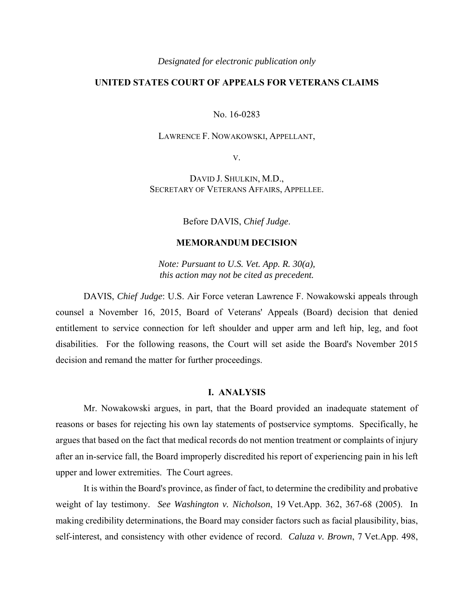#### *Designated for electronic publication only*

# **UNITED STATES COURT OF APPEALS FOR VETERANS CLAIMS**

No. 16-0283

#### LAWRENCE F. NOWAKOWSKI, APPELLANT,

V.

DAVID J. SHULKIN, M.D., SECRETARY OF VETERANS AFFAIRS, APPELLEE.

Before DAVIS, *Chief Judge*.

## **MEMORANDUM DECISION**

*Note: Pursuant to U.S. Vet. App. R. 30(a), this action may not be cited as precedent.* 

DAVIS, *Chief Judge*: U.S. Air Force veteran Lawrence F. Nowakowski appeals through counsel a November 16, 2015, Board of Veterans' Appeals (Board) decision that denied entitlement to service connection for left shoulder and upper arm and left hip, leg, and foot disabilities. For the following reasons, the Court will set aside the Board's November 2015 decision and remand the matter for further proceedings.

## **I. ANALYSIS**

 Mr. Nowakowski argues, in part, that the Board provided an inadequate statement of reasons or bases for rejecting his own lay statements of postservice symptoms. Specifically, he argues that based on the fact that medical records do not mention treatment or complaints of injury after an in-service fall, the Board improperly discredited his report of experiencing pain in his left upper and lower extremities. The Court agrees.

 It is within the Board's province, as finder of fact, to determine the credibility and probative weight of lay testimony. *See Washington v. Nicholson*, 19 Vet.App. 362, 367-68 (2005). In making credibility determinations, the Board may consider factors such as facial plausibility, bias, self-interest, and consistency with other evidence of record. *Caluza v. Brown*, 7 Vet.App. 498,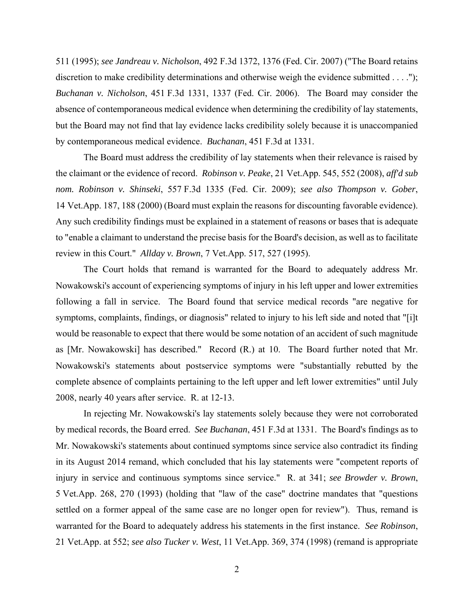511 (1995); *see Jandreau v. Nicholson*, 492 F.3d 1372, 1376 (Fed. Cir. 2007) ("The Board retains discretion to make credibility determinations and otherwise weigh the evidence submitted . . . ."); *Buchanan v. Nicholson*, 451 F.3d 1331, 1337 (Fed. Cir. 2006). The Board may consider the absence of contemporaneous medical evidence when determining the credibility of lay statements, but the Board may not find that lay evidence lacks credibility solely because it is unaccompanied by contemporaneous medical evidence. *Buchanan*, 451 F.3d at 1331.

 The Board must address the credibility of lay statements when their relevance is raised by the claimant or the evidence of record. *Robinson v. Peake*, 21 Vet.App. 545, 552 (2008), *aff'd sub nom. Robinson v. Shinseki*, 557 F.3d 1335 (Fed. Cir. 2009); *see also Thompson v. Gober*, 14 Vet.App. 187, 188 (2000) (Board must explain the reasons for discounting favorable evidence). Any such credibility findings must be explained in a statement of reasons or bases that is adequate to "enable a claimant to understand the precise basis for the Board's decision, as well as to facilitate review in this Court." *Allday v. Brown*, 7 Vet.App. 517, 527 (1995).

 The Court holds that remand is warranted for the Board to adequately address Mr. Nowakowski's account of experiencing symptoms of injury in his left upper and lower extremities following a fall in service. The Board found that service medical records "are negative for symptoms, complaints, findings, or diagnosis" related to injury to his left side and noted that "[i]t would be reasonable to expect that there would be some notation of an accident of such magnitude as [Mr. Nowakowski] has described." Record (R.) at 10. The Board further noted that Mr. Nowakowski's statements about postservice symptoms were "substantially rebutted by the complete absence of complaints pertaining to the left upper and left lower extremities" until July 2008, nearly 40 years after service. R. at 12-13.

In rejecting Mr. Nowakowski's lay statements solely because they were not corroborated by medical records, the Board erred. *See Buchanan*, 451 F.3d at 1331. The Board's findings as to Mr. Nowakowski's statements about continued symptoms since service also contradict its finding in its August 2014 remand, which concluded that his lay statements were "competent reports of injury in service and continuous symptoms since service." R. at 341; *see Browder v. Brown*, 5 Vet.App. 268, 270 (1993) (holding that "law of the case" doctrine mandates that "questions settled on a former appeal of the same case are no longer open for review"). Thus, remand is warranted for the Board to adequately address his statements in the first instance. *See Robinson*, 21 Vet.App. at 552; *see also Tucker v. West*, 11 Vet.App. 369, 374 (1998) (remand is appropriate